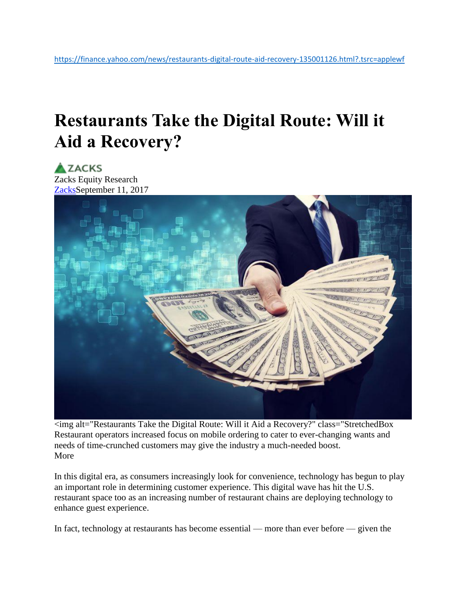## **Restaurants Take the Digital Route: Will it Aid a Recovery?**

**AZACKS** 

Zacks Equity Research [ZacksS](http://www.zacks.com/)eptember 11, 2017



<img alt="Restaurants Take the Digital Route: Will it Aid a Recovery?" class="StretchedBox Restaurant operators increased focus on mobile ordering to cater to ever-changing wants and needs of time-crunched customers may give the industry a much-needed boost. More

In this digital era, as consumers increasingly look for convenience, technology has begun to play an important role in determining customer experience. This digital wave has hit the U.S. restaurant space too as an increasing number of restaurant chains are deploying technology to enhance guest experience.

In fact, technology at restaurants has become essential — more than ever before — given the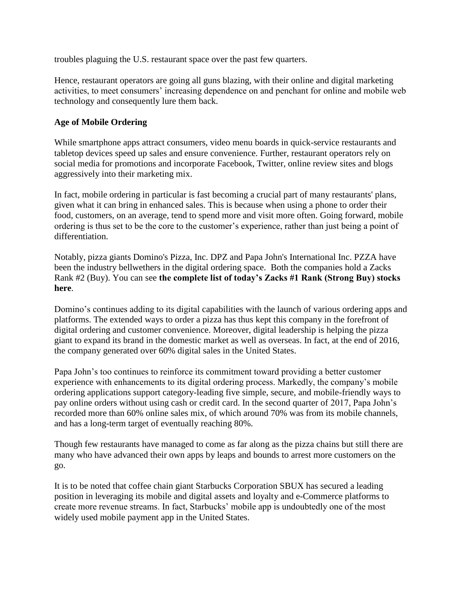troubles plaguing the U.S. restaurant space over the past few quarters.

Hence, restaurant operators are going all guns blazing, with their online and digital marketing activities, to meet consumers' increasing dependence on and penchant for online and mobile web technology and consequently lure them back.

## **Age of Mobile Ordering**

While smartphone apps attract consumers, video menu boards in quick-service restaurants and tabletop devices speed up sales and ensure convenience. Further, restaurant operators rely on social media for promotions and incorporate Facebook, Twitter, online review sites and blogs aggressively into their marketing mix.

In fact, mobile ordering in particular is fast becoming a crucial part of many restaurants' plans, given what it can bring in enhanced sales. This is because when using a phone to order their food, customers, on an average, tend to spend more and visit more often. Going forward, mobile ordering is thus set to be the core to the customer's experience, rather than just being a point of differentiation.

Notably, pizza giants Domino's Pizza, Inc. DPZ and Papa John's International Inc. PZZA have been the industry bellwethers in the digital ordering space. Both the companies hold a Zacks Rank #2 (Buy). You can see **the complete list of today's Zacks #1 Rank (Strong Buy) stocks here**.

Domino's continues adding to its digital capabilities with the launch of various ordering apps and platforms. The extended ways to order a pizza has thus kept this company in the forefront of digital ordering and customer convenience. Moreover, digital leadership is helping the pizza giant to expand its brand in the domestic market as well as overseas. In fact, at the end of 2016, the company generated over 60% digital sales in the United States.

Papa John's too continues to reinforce its commitment toward providing a better customer experience with enhancements to its digital ordering process. Markedly, the company's mobile ordering applications support category-leading five simple, secure, and mobile-friendly ways to pay online orders without using cash or credit card. In the second quarter of 2017, Papa John's recorded more than 60% online sales mix, of which around 70% was from its mobile channels, and has a long-term target of eventually reaching 80%.

Though few restaurants have managed to come as far along as the pizza chains but still there are many who have advanced their own apps by leaps and bounds to arrest more customers on the go.

It is to be noted that coffee chain giant Starbucks Corporation SBUX has secured a leading position in leveraging its mobile and digital assets and loyalty and e-Commerce platforms to create more revenue streams. In fact, Starbucks' mobile app is undoubtedly one of the most widely used mobile payment app in the United States.